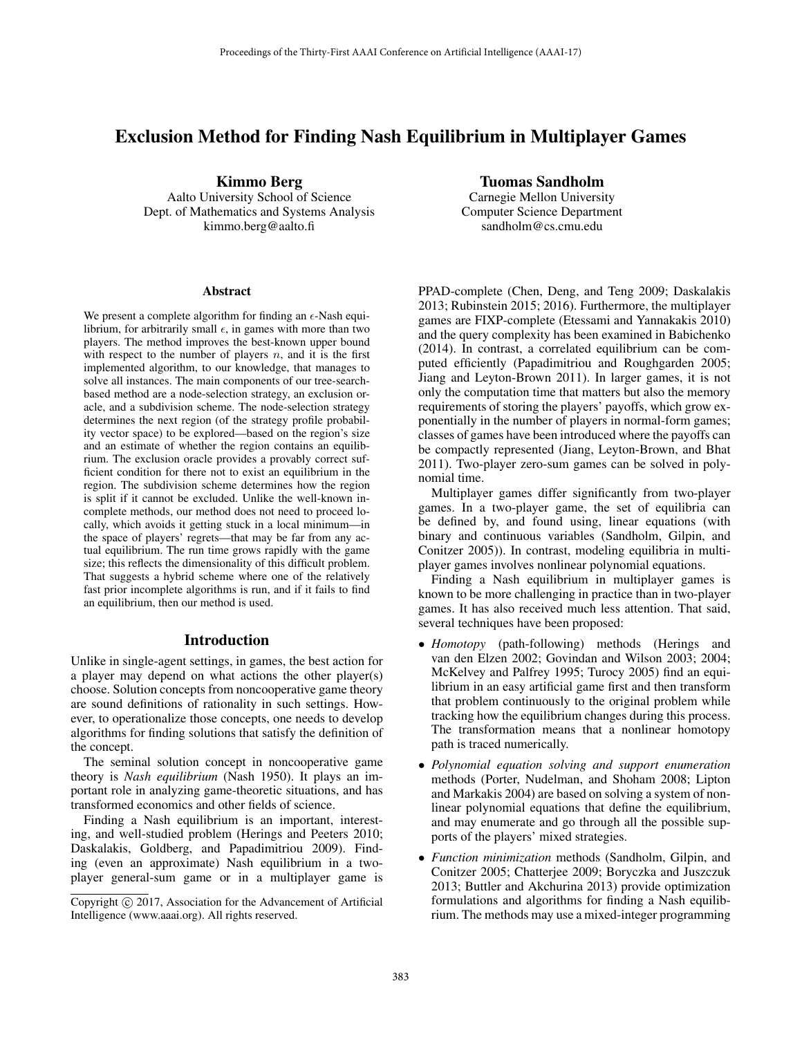# Exclusion Method for Finding Nash Equilibrium in Multiplayer Games

Kimmo Berg

Aalto University School of Science Dept. of Mathematics and Systems Analysis kimmo.berg@aalto.fi

#### Abstract

We present a complete algorithm for finding an  $\epsilon$ -Nash equilibrium, for arbitrarily small  $\epsilon$ , in games with more than two players. The method improves the best-known upper bound with respect to the number of players  $n$ , and it is the first implemented algorithm, to our knowledge, that manages to solve all instances. The main components of our tree-searchbased method are a node-selection strategy, an exclusion oracle, and a subdivision scheme. The node-selection strategy determines the next region (of the strategy profile probability vector space) to be explored—based on the region's size and an estimate of whether the region contains an equilibrium. The exclusion oracle provides a provably correct sufficient condition for there not to exist an equilibrium in the region. The subdivision scheme determines how the region is split if it cannot be excluded. Unlike the well-known incomplete methods, our method does not need to proceed locally, which avoids it getting stuck in a local minimum—in the space of players' regrets—that may be far from any actual equilibrium. The run time grows rapidly with the game size; this reflects the dimensionality of this difficult problem. That suggests a hybrid scheme where one of the relatively fast prior incomplete algorithms is run, and if it fails to find an equilibrium, then our method is used.

# Introduction

Unlike in single-agent settings, in games, the best action for a player may depend on what actions the other player(s) choose. Solution concepts from noncooperative game theory are sound definitions of rationality in such settings. However, to operationalize those concepts, one needs to develop algorithms for finding solutions that satisfy the definition of the concept.

The seminal solution concept in noncooperative game theory is *Nash equilibrium* (Nash 1950). It plays an important role in analyzing game-theoretic situations, and has transformed economics and other fields of science.

Finding a Nash equilibrium is an important, interesting, and well-studied problem (Herings and Peeters 2010; Daskalakis, Goldberg, and Papadimitriou 2009). Finding (even an approximate) Nash equilibrium in a twoplayer general-sum game or in a multiplayer game is

## Tuomas Sandholm

Carnegie Mellon University Computer Science Department sandholm@cs.cmu.edu

PPAD-complete (Chen, Deng, and Teng 2009; Daskalakis 2013; Rubinstein 2015; 2016). Furthermore, the multiplayer games are FIXP-complete (Etessami and Yannakakis 2010) and the query complexity has been examined in Babichenko (2014). In contrast, a correlated equilibrium can be computed efficiently (Papadimitriou and Roughgarden 2005; Jiang and Leyton-Brown 2011). In larger games, it is not only the computation time that matters but also the memory requirements of storing the players' payoffs, which grow exponentially in the number of players in normal-form games; classes of games have been introduced where the payoffs can be compactly represented (Jiang, Leyton-Brown, and Bhat 2011). Two-player zero-sum games can be solved in polynomial time.

Multiplayer games differ significantly from two-player games. In a two-player game, the set of equilibria can be defined by, and found using, linear equations (with binary and continuous variables (Sandholm, Gilpin, and Conitzer 2005)). In contrast, modeling equilibria in multiplayer games involves nonlinear polynomial equations.

Finding a Nash equilibrium in multiplayer games is known to be more challenging in practice than in two-player games. It has also received much less attention. That said, several techniques have been proposed:

- *Homotopy* (path-following) methods (Herings and van den Elzen 2002; Govindan and Wilson 2003; 2004; McKelvey and Palfrey 1995; Turocy 2005) find an equilibrium in an easy artificial game first and then transform that problem continuously to the original problem while tracking how the equilibrium changes during this process. The transformation means that a nonlinear homotopy path is traced numerically.
- *Polynomial equation solving and support enumeration* methods (Porter, Nudelman, and Shoham 2008; Lipton and Markakis 2004) are based on solving a system of nonlinear polynomial equations that define the equilibrium, and may enumerate and go through all the possible supports of the players' mixed strategies.
- *Function minimization* methods (Sandholm, Gilpin, and Conitzer 2005; Chatterjee 2009; Boryczka and Juszczuk 2013; Buttler and Akchurina 2013) provide optimization formulations and algorithms for finding a Nash equilibrium. The methods may use a mixed-integer programming

Copyright  $\odot$  2017, Association for the Advancement of Artificial Intelligence (www.aaai.org). All rights reserved.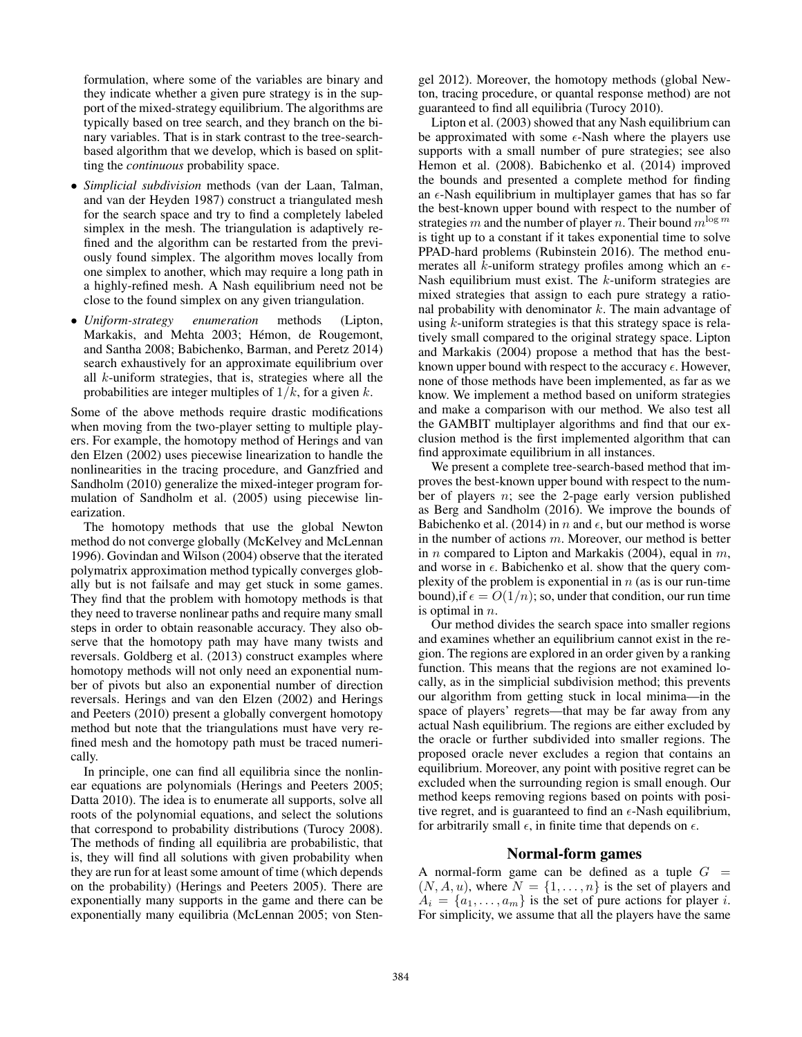formulation, where some of the variables are binary and they indicate whether a given pure strategy is in the support of the mixed-strategy equilibrium. The algorithms are typically based on tree search, and they branch on the binary variables. That is in stark contrast to the tree-searchbased algorithm that we develop, which is based on splitting the *continuous* probability space.

- *Simplicial subdivision* methods (van der Laan, Talman, and van der Heyden 1987) construct a triangulated mesh for the search space and try to find a completely labeled simplex in the mesh. The triangulation is adaptively refined and the algorithm can be restarted from the previously found simplex. The algorithm moves locally from one simplex to another, which may require a long path in a highly-refined mesh. A Nash equilibrium need not be close to the found simplex on any given triangulation.
- *Uniform-strategy enumeration* methods (Lipton, Markakis, and Mehta 2003; Hémon, de Rougemont, and Santha 2008; Babichenko, Barman, and Peretz 2014) search exhaustively for an approximate equilibrium over all k-uniform strategies, that is, strategies where all the probabilities are integer multiples of  $1/k$ , for a given k.

Some of the above methods require drastic modifications when moving from the two-player setting to multiple players. For example, the homotopy method of Herings and van den Elzen (2002) uses piecewise linearization to handle the nonlinearities in the tracing procedure, and Ganzfried and Sandholm (2010) generalize the mixed-integer program formulation of Sandholm et al. (2005) using piecewise linearization.

The homotopy methods that use the global Newton method do not converge globally (McKelvey and McLennan 1996). Govindan and Wilson (2004) observe that the iterated polymatrix approximation method typically converges globally but is not failsafe and may get stuck in some games. They find that the problem with homotopy methods is that they need to traverse nonlinear paths and require many small steps in order to obtain reasonable accuracy. They also observe that the homotopy path may have many twists and reversals. Goldberg et al. (2013) construct examples where homotopy methods will not only need an exponential number of pivots but also an exponential number of direction reversals. Herings and van den Elzen (2002) and Herings and Peeters (2010) present a globally convergent homotopy method but note that the triangulations must have very refined mesh and the homotopy path must be traced numerically.

In principle, one can find all equilibria since the nonlinear equations are polynomials (Herings and Peeters 2005; Datta 2010). The idea is to enumerate all supports, solve all roots of the polynomial equations, and select the solutions that correspond to probability distributions (Turocy 2008). The methods of finding all equilibria are probabilistic, that is, they will find all solutions with given probability when they are run for at least some amount of time (which depends on the probability) (Herings and Peeters 2005). There are exponentially many supports in the game and there can be exponentially many equilibria (McLennan 2005; von Stengel 2012). Moreover, the homotopy methods (global Newton, tracing procedure, or quantal response method) are not guaranteed to find all equilibria (Turocy 2010).

Lipton et al. (2003) showed that any Nash equilibrium can be approximated with some  $\epsilon$ -Nash where the players use supports with a small number of pure strategies; see also Hemon et al. (2008). Babichenko et al. (2014) improved the bounds and presented a complete method for finding an  $\epsilon$ -Nash equilibrium in multiplayer games that has so far the best-known upper bound with respect to the number of strategies m and the number of player n. Their bound  $m^{\log m}$ is tight up to a constant if it takes exponential time to solve PPAD-hard problems (Rubinstein 2016). The method enumerates all k-uniform strategy profiles among which an  $\epsilon$ -Nash equilibrium must exist. The k-uniform strategies are mixed strategies that assign to each pure strategy a rational probability with denominator  $k$ . The main advantage of using k-uniform strategies is that this strategy space is relatively small compared to the original strategy space. Lipton and Markakis (2004) propose a method that has the bestknown upper bound with respect to the accuracy  $\epsilon$ . However, none of those methods have been implemented, as far as we know. We implement a method based on uniform strategies and make a comparison with our method. We also test all the GAMBIT multiplayer algorithms and find that our exclusion method is the first implemented algorithm that can find approximate equilibrium in all instances.

We present a complete tree-search-based method that improves the best-known upper bound with respect to the number of players n; see the 2-page early version published as Berg and Sandholm (2016). We improve the bounds of Babichenko et al. (2014) in n and  $\epsilon$ , but our method is worse in the number of actions  $m$ . Moreover, our method is better in  $n$  compared to Lipton and Markakis (2004), equal in  $m$ , and worse in  $\epsilon$ . Babichenko et al. show that the query complexity of the problem is exponential in  $n$  (as is our run-time bound), if  $\epsilon = O(1/n)$ ; so, under that condition, our run time is optimal in n is optimal in  $n$ .

Our method divides the search space into smaller regions and examines whether an equilibrium cannot exist in the region. The regions are explored in an order given by a ranking function. This means that the regions are not examined locally, as in the simplicial subdivision method; this prevents our algorithm from getting stuck in local minima—in the space of players' regrets—that may be far away from any actual Nash equilibrium. The regions are either excluded by the oracle or further subdivided into smaller regions. The proposed oracle never excludes a region that contains an equilibrium. Moreover, any point with positive regret can be excluded when the surrounding region is small enough. Our method keeps removing regions based on points with positive regret, and is guaranteed to find an  $\epsilon$ -Nash equilibrium, for arbitrarily small  $\epsilon$ , in finite time that depends on  $\epsilon$ .

### Normal-form games

A normal-form game can be defined as a tuple  $G =$  $(N, A, u)$ , where  $N = \{1, \ldots, n\}$  is the set of players and  $A_i = \{a_1, \ldots, a_m\}$  is the set of pure actions for player i. For simplicity, we assume that all the players have the same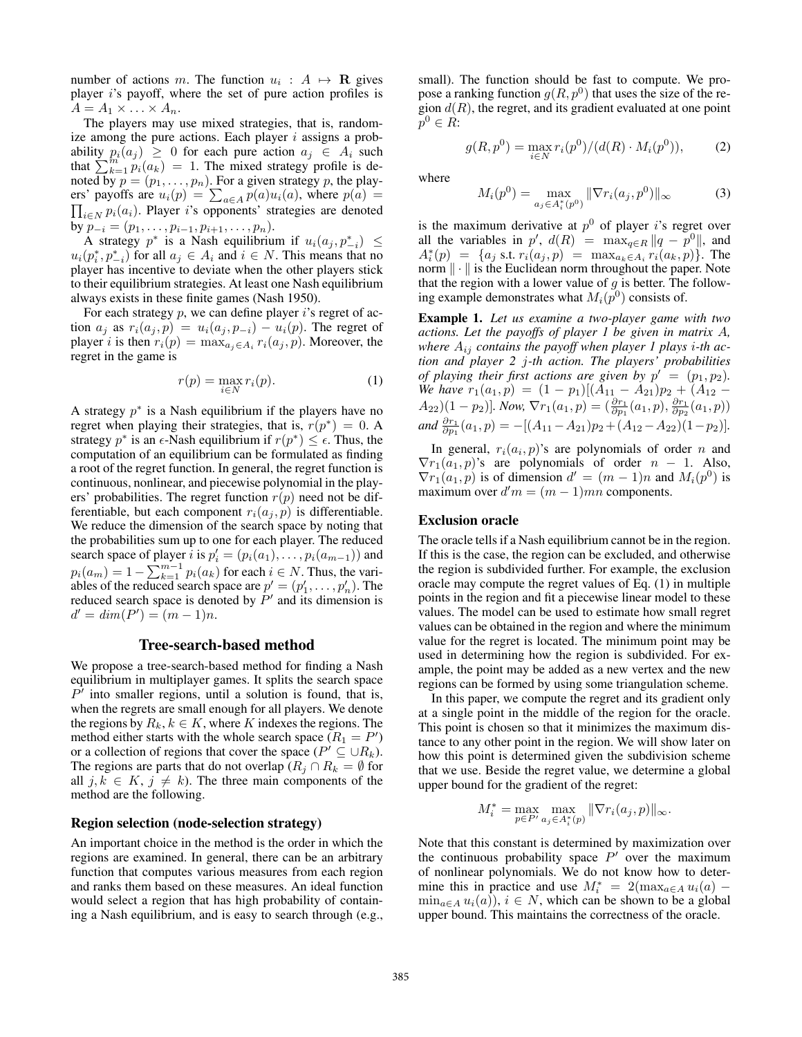number of actions m. The function  $u_i : A \mapsto \mathbf{R}$  gives player i's payoff where the set of pure action profiles is player  $i$ 's payoff, where the set of pure action profiles is  $A = A_1 \times \ldots \times A_n$ .

The players may use mixed strategies, that is, randomize among the pure actions. Each player  $i$  assigns a probability  $p_i(a_j) \geq 0$  for each pure action  $a_j \in A_i$  such that  $\sum_{k=1}^{n} p_i(a_k) = 1$ . The mixed strategy profile is denoted by  $n = (n_1, \ldots, n_n)$ . For a given strategy n the playnoted by  $p = (p_1, \ldots, p_n)$ . For a given strategy p, the players' payoffs are  $u_i(p) = \sum_{a \in A} p(a)u_i(a)$ , where  $p(a) = \prod_{i \in N} p_i(a_i)$ . Player *i*'s opponents' strategies are denoted  $\prod_{i\in N} p_i(a_i)$ . Player i's opponents' strategies are denoted by  $p_{-i} = (p_1, \ldots, p_{i-1}, p_{i+1}, \ldots, p_n)$ .<br>A strategy  $p^*$  is a Nash equilibrium

A strategy  $p^*$  is a Nash equilibrium if  $u_i(a_j, p_{-i}^*) \leq (p_i^* p^*)$  for all  $a_i \in A_i$  and  $i \in N$  This means that no  $u_i(p_i^*, p_{-i}^*)$  for all  $a_j \in A_i$  and  $i \in N$ . This means that no<br>player has incentive to deviate when the other players stick player has incentive to deviate when the other players stick to their equilibrium strategies. At least one Nash equilibrium always exists in these finite games (Nash 1950).

For each strategy  $p$ , we can define player  $i$ 's regret of action  $a_j$  as  $r_i(a_j, p) = u_i(a_j, p_{-i}) - u_i(p)$ . The regret of player *i* is then  $r_i(p) = \max_{a_j \in A_i} r_i(a_j, p)$ . Moreover, the regret in the game is

$$
r(p) = \max_{i \in N} r_i(p). \tag{1}
$$

A strategy  $p^*$  is a Nash equilibrium if the players have no regret when playing their strategies, that is,  $r(p^*)=0$ . A strategy  $p^*$  is an  $\epsilon$ -Nash equilibrium if  $r(p^*) \leq \epsilon$ . Thus, the computation of an equilibrium can be formulated as finding computation of an equilibrium can be formulated as finding a root of the regret function. In general, the regret function is continuous, nonlinear, and piecewise polynomial in the players' probabilities. The regret function  $r(p)$  need not be differentiable, but each component  $r_i(a_j, p)$  is differentiable. We reduce the dimension of the search space by noting that the probabilities sum up to one for each player. The reduced search space of player *i* is  $p'_i = (p_i(a_1), \ldots, p_i(a_{m-1}))$  and<br> $p_i(a_i) = 1$ ,  $\sum_{i=1}^{m-1} p_i(a_i)$  for each  $i \in N$ . Thus, the usual  $p_i(a_m) = 1 - \sum_{k=1}^{m-1} p_i(a_k)$  for each  $i \in N$ . Thus, the variables of the reduced search space are  $p' = (p'_i, p'_i)$ . The ables of the reduced search space are  $p' = (p'_1, \dots, p'_n)$ . The reduced search space is denoted by  $P'$  and its dimension is  $d' = dim(P') = (m-1)n.$ 

### Tree-search-based method

We propose a tree-search-based method for finding a Nash equilibrium in multiplayer games. It splits the search space  $P'$  into smaller regions, until a solution is found, that is, when the regrets are small enough for all players. We denote the regions by  $R_k, k \in K$ , where K indexes the regions. The method either starts with the whole search space  $(R_1 = P')$ <br>or a collection of regions that cover the space  $(P' \subseteq |R_L|)$ or a collection of regions that cover the space ( $P' \subseteq \cup R_k$ ). The regions are parts that do not overlap ( $R_i \cap R_k = \emptyset$  for all  $j, k \in K$ ,  $j \neq k$ ). The three main components of the method are the following.

#### Region selection (node-selection strategy)

An important choice in the method is the order in which the regions are examined. In general, there can be an arbitrary function that computes various measures from each region and ranks them based on these measures. An ideal function would select a region that has high probability of containing a Nash equilibrium, and is easy to search through (e.g.,

small). The function should be fast to compute. We propose a ranking function  $g(R, p^0)$  that uses the size of the region  $d(R)$ , the regret, and its gradient evaluated at one point  $p^0 \in R$ :

$$
g(R, p^{0}) = \max_{i \in N} r_{i}(p^{0})/(d(R) \cdot M_{i}(p^{0})),
$$
 (2)

where

$$
M_i(p^0) = \max_{a_j \in A_i^*(p^0)} \|\nabla r_i(a_j, p^0)\|_{\infty} \tag{3}
$$

is the maximum derivative at  $p^0$  of player is regret over all the variables in  $p'$ ,  $d(R) = \max_{q \in R} ||q - p^0||$ , and  $A^*(p) = \{a_i, s \in r : (a_i, p) = \max_{a_i \in A} r_i(a_i, p)\}$ . The  $A_i^*(p) = \{a_j \text{ s.t. } r_i(a_j, p) = \max_{a_k \in A_i} r_i(a_k, p)\}\.$  The norm  $\|\cdot\|$  is the Euclidean norm throughout the paper Note norm  $\|\cdot\|$  is the Euclidean norm throughout the paper. Note that the region with a lower value of  $g$  is better. The following example demonstrates what  $M_i(p^0)$  consists of.

Example 1. *Let us examine a two-player game with two actions. Let the payoffs of player 1 be given in matrix* A*, where* Aij *contains the payoff when player 1 plays* i*-th action and player 2* j*-th action. The players' probabilities of playing their first actions are given by*  $p' = (p_1, p_2)$ .<br>We have  $r_1(a_1, p) = (1 - p_1)[(A_{11} - A_{21})p_2 + (A_{12} - A_{22})p_3]$ *We have*  $r_1(a_1, p) = (1 - p_1)[(A_{11} - A_{21})p_2 + (A_{12} - A_{21})(1 - p_1)]$  *Now*  $\nabla r_1(a_1, p) = (\frac{\partial r_1(a_1, p)}{\partial r_1(a_2, p)}) \frac{\partial r_1(a_1, p)}{\partial r_1(a_2, p)}$  $(A_{22})(1-p_2)$ ]. Now,  $\nabla r_1(a_1, p) = (\frac{\partial r_1}{\partial p_1}(a_1, p), \frac{\partial r_1}{\partial p_2}(a_1, p))$ <br>and  $\frac{\partial r_1}{\partial p_1}(a_1, p) = -[(A_{11} - A_{21})p_2 + (A_{12} - A_{22})(1-p_2)].$ 

In general,  $r_i(a_i, p)$ 's are polynomials of order n and  $\nabla r_1(a_1, p)$ 's are polynomials of order  $n - 1$ . Also,  $\nabla r_1(a_1, p)$  is of dimension  $d' = (m - 1)n$  and  $M_i(p^0)$  is maximum over  $d'm = (m-1)mn$  components.

#### Exclusion oracle

The oracle tells if a Nash equilibrium cannot be in the region. If this is the case, the region can be excluded, and otherwise the region is subdivided further. For example, the exclusion oracle may compute the regret values of Eq. (1) in multiple points in the region and fit a piecewise linear model to these values. The model can be used to estimate how small regret values can be obtained in the region and where the minimum value for the regret is located. The minimum point may be used in determining how the region is subdivided. For example, the point may be added as a new vertex and the new regions can be formed by using some triangulation scheme.

In this paper, we compute the regret and its gradient only at a single point in the middle of the region for the oracle. This point is chosen so that it minimizes the maximum distance to any other point in the region. We will show later on how this point is determined given the subdivision scheme that we use. Beside the regret value, we determine a global upper bound for the gradient of the regret:

$$
M_i^* = \max_{p \in P'} \max_{a_j \in A_i^*(p)} \|\nabla r_i(a_j, p)\|_{\infty}.
$$

Note that this constant is determined by maximization over the continuous probability space  $P'$  over the maximum of nonlinear polynomials. We do not know how to determine this in practice and use  $M_i^* = 2(\max_{a \in A} u_i(a) - \min_{a \in A} u_i(a))$   $i \in N$  which can be shown to be a global  $\min_{a \in A} u_i(a)$ ,  $i \in N$ , which can be shown to be a global upper bound. This maintains the correctness of the oracle.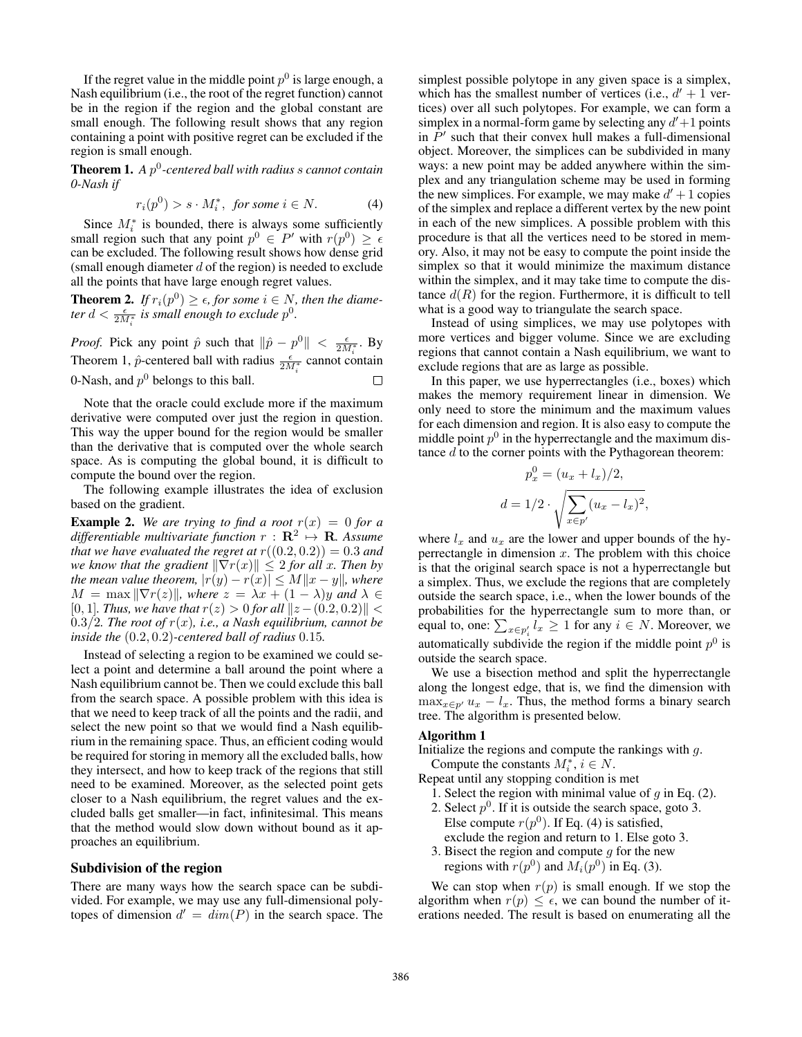If the regret value in the middle point  $p^0$  is large enough, a Nash equilibrium (i.e., the root of the regret function) cannot be in the region if the region and the global constant are small enough. The following result shows that any region containing a point with positive regret can be excluded if the region is small enough.

**Theorem 1.** A  $p^0$ -centered ball with radius s cannot contain *0-Nash if*

$$
r_i(p^0) > s \cdot M_i^*, \text{ for some } i \in N. \tag{4}
$$

 $r_i(p^0) > s \cdot M_i^*$ , for some  $i \in N$ . (4)<br>Since  $M_i^*$  is bounded, there is always some sufficiently small region such that any point  $p^0 \in P'$  with  $r(p^0) \ge \epsilon$ <br>can be excluded. The following result shows how dense grid can be excluded. The following result shows how dense grid (small enough diameter  $d$  of the region) is needed to exclude all the points that have large enough regret values.

**Theorem 2.** *If*  $r_i(p^0) \ge \epsilon$ , *for some*  $i \in N$ , *then the diameter*  $d < \frac{\epsilon}{2M_i^*}$  *is small enough to exclude*  $p^0$ .

*Proof.* Pick any point  $\hat{p}$  such that  $\|\hat{p} - p^0\| < \frac{\epsilon}{2M^*}$ . By Theorem 1,  $\hat{p}$ -centered ball with radius  $\frac{\epsilon}{2M_i^*}$  cannot contain 0-Nash, and  $p^0$  belongs to this ball.  $\Box$ 

Note that the oracle could exclude more if the maximum derivative were computed over just the region in question. This way the upper bound for the region would be smaller than the derivative that is computed over the whole search space. As is computing the global bound, it is difficult to compute the bound over the region.

The following example illustrates the idea of exclusion based on the gradient.

**Example 2.** We are trying to find a root  $r(x)=0$  for a *differentiable multivariate function*  $r : \mathbb{R}^2 \to \mathbb{R}$ *. Assume*<br>that we have evaluated the regret at  $r((0, 2, 0, 2)) = 0.3$  and *that we have evaluated the regret at*  $r((0.2, 0.2)) = 0.3$  *and we know that the gradient*  $\|\nabla r(x)\| \leq 2$  *for all x. Then by the mean value theorem,*  $|r(y) - r(x)| \le M ||x - y||$ *, where*  $M = \max ||\nabla r(z)||$ , where  $z = \lambda x + (1 - \lambda)y$  and  $\lambda \in$ [0, 1]. Thus, we have that  $r(z) > 0$  for all  $||z - (0.2, 0.2)|| <$ 0.3/2*. The root of*  $r(x)$ *, i.e., a Nash equilibrium, cannot be inside the* (0.2, 0.2)*-centered ball of radius* <sup>0</sup>.15*.*

Instead of selecting a region to be examined we could select a point and determine a ball around the point where a Nash equilibrium cannot be. Then we could exclude this ball from the search space. A possible problem with this idea is that we need to keep track of all the points and the radii, and select the new point so that we would find a Nash equilibrium in the remaining space. Thus, an efficient coding would be required for storing in memory all the excluded balls, how they intersect, and how to keep track of the regions that still need to be examined. Moreover, as the selected point gets closer to a Nash equilibrium, the regret values and the excluded balls get smaller—in fact, infinitesimal. This means that the method would slow down without bound as it approaches an equilibrium.

#### Subdivision of the region

There are many ways how the search space can be subdivided. For example, we may use any full-dimensional polytopes of dimension  $d' = dim(P)$  in the search space. The

simplest possible polytope in any given space is a simplex, which has the smallest number of vertices (i.e.,  $d' + 1$  vertices) over all such polytopes. For example, we can form a simplex in a normal-form game by selecting any  $d' + 1$  points<br>in  $P'$  such that their convex hull makes a full-dimensional in  $P'$  such that their convex hull makes a full-dimensional object. Moreover, the simplices can be subdivided in many ways: a new point may be added anywhere within the simplex and any triangulation scheme may be used in forming the new simplices. For example, we may make  $d' + 1$  copies of the simplex and replace a different vertex by the new point in each of the new simplices. A possible problem with this procedure is that all the vertices need to be stored in memory. Also, it may not be easy to compute the point inside the simplex so that it would minimize the maximum distance within the simplex, and it may take time to compute the distance  $d(R)$  for the region. Furthermore, it is difficult to tell what is a good way to triangulate the search space.

Instead of using simplices, we may use polytopes with more vertices and bigger volume. Since we are excluding regions that cannot contain a Nash equilibrium, we want to exclude regions that are as large as possible.

In this paper, we use hyperrectangles (i.e., boxes) which makes the memory requirement linear in dimension. We only need to store the minimum and the maximum values for each dimension and region. It is also easy to compute the middle point  $p^0$  in the hyperrectangle and the maximum distance  $d$  to the corner points with the Pythagorean theorem:

$$
p_x^0 = (u_x + l_x)/2,
$$
  

$$
d = 1/2 \cdot \sqrt{\sum_{x \in p'} (u_x - l_x)^2},
$$

where  $l_x$  and  $u_x$  are the lower and upper bounds of the hyperrectangle in dimension  $x$ . The problem with this choice is that the original search space is not a hyperrectangle but a simplex. Thus, we exclude the regions that are completely outside the search space, i.e., when the lower bounds of the probabilities for the hyperrectangle sum to more than, or equal to, one:  $\sum_{x \in p'_i} l_x \ge 1$  for any  $i \in N$ . Moreover, we automatically subdivide the region if the middle point  $p^0$  is outside the search space.

We use a bisection method and split the hyperrectangle along the longest edge, that is, we find the dimension with  $\max_{x \in p'} u_x - l_x$ . Thus, the method forms a binary search tree. The algorithm is presented below.

#### Algorithm 1

Initialize the regions and compute the rankings with  $q$ .

Compute the constants  $M_i^*, i \in N$ .

Repeat until any stopping condition is met

- 1. Select the region with minimal value of  $g$  in Eq. (2).
- 2. Select  $p^0$ . If it is outside the search space, goto 3. Else compute  $r(p^0)$ . If Eq. (4) is satisfied, exclude the region and return to 1. Else goto 3.
- 3. Bisect the region and compute  $g$  for the new regions with  $r(p^0)$  and  $M_i(p^0)$  in Eq. (3).

We can stop when  $r(p)$  is small enough. If we stop the algorithm when  $r(p) \leq \epsilon$ , we can bound the number of iterations needed. The result is based on enumerating all the erations needed. The result is based on enumerating all the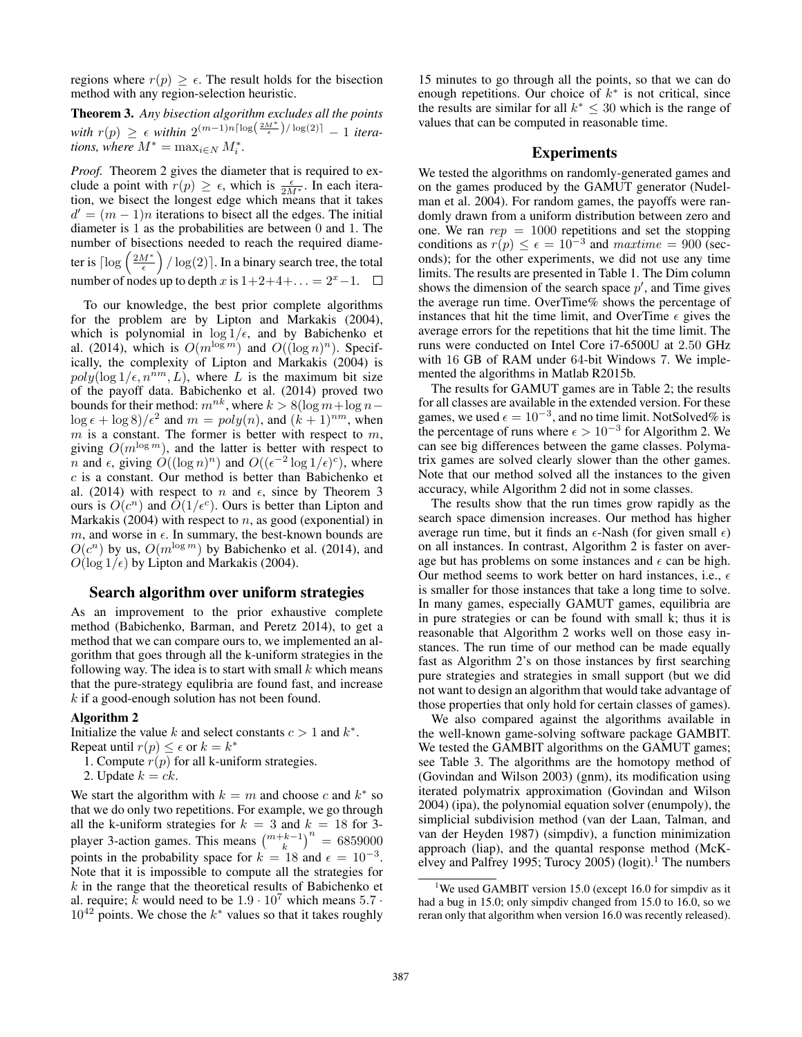regions where  $r(p) \geq \epsilon$ . The result holds for the bisection method with any region-selection heuristic method with any region-selection heuristic.

Theorem 3. *Any bisection algorithm excludes all the points with*  $r(p) \geq \epsilon$  *within*  $2^{(m-1)n \lceil \log(\frac{2M^*}{\epsilon})/ \log(2) \rceil} - 1$  *itera-*<br>*tions where*  $M^* = \max_{i \in \mathbb{N}} M^*$ *tions, where*  $M^* = \max_{i \in N} M_i^*$ .

*Proof.* Theorem 2 gives the diameter that is required to exclude a point with  $r(p) \ge \epsilon$ , which is  $\frac{\epsilon}{2M^*}$ . In each iteration, we bisect the longest edge which means that it takes tion, we bisect the longest edge which means that it takes  $d' = (m - 1)n$  iterations to bisect all the edges. The initial diameter is 1 as the probabilities are between 0 and 1. The number of bisections needed to reach the required diameter is  $\lceil \log \left( \frac{2M^*}{\epsilon} \right) / \log(2) \rceil$ . In a binary search tree, the total number of nodes up to depth x is  $1+2+4+\ldots = 2^x-1$ .

To our knowledge, the best prior complete algorithms for the problem are by Lipton and Markakis (2004), which is polynomial in  $\log 1/\epsilon$ , and by Babichenko et al. (2014) which is  $O(m^{\log m})$  and  $O((\log n)^n)$ . Specifal. (2014), which is  $O(m^{\log m})$  and  $O((\log n)^n)$ . Specifically, the complexity of Lipton and Markakis (2004) is  $poly(\log 1/\epsilon, n^{\bar{n}m}, L)$ , where L is the maximum bit size<br>of the navoff data. Babichenko et al. (2014) proved two of the payoff data. Babichenko et al. (2014) proved two bounds for their method:  $m^{nk}$ , where  $k > 8(\log m + \log n \log \epsilon + \log 8$ / $\epsilon^2$  and  $m = poly(n)$ , and  $(k + 1)^{nm}$ , when  $m$  is a constant. The former is better with respect to  $m$  $m$  is a constant. The former is better with respect to  $m$ , giving  $O(m^{\log m})$ , and the latter is better with respect to n and  $\epsilon$ , giving  $O((\log n)^n)$  and  $O((\epsilon^{-2} \log 1/\epsilon)^c)$ , where  $c$  is a constant. Our method is better than Babichenko et al. (2014) with respect to n and  $\epsilon$ , since by Theorem 3 ours is  $O(c^n)$  and  $\overline{O(1/\epsilon^c)}$ . Ours is better than Lipton and<br>Markakis (2004) with respect to *n*, as good (exponential) in Markakis (2004) with respect to  $n$ , as good (exponential) in  $m$ , and worse in  $\epsilon$ . In summary, the best-known bounds are  $O(c^n)$  by us,  $O(m^{\log m})$  by Babichenko et al. (2014), and  $O(\log 1/\epsilon)$  by Lipton and Markakis (2004).

### Search algorithm over uniform strategies

As an improvement to the prior exhaustive complete method (Babichenko, Barman, and Peretz 2014), to get a method that we can compare ours to, we implemented an algorithm that goes through all the k-uniform strategies in the following way. The idea is to start with small  $k$  which means that the pure-strategy equlibria are found fast, and increase  $k$  if a good-enough solution has not been found.

#### Algorithm 2

Initialize the value k and select constants  $c > 1$  and  $k^*$ . Repeat until  $r(p) \leq \epsilon$  or  $k = k^*$ <br>1 Compute  $r(p)$  for all k-uni

- 1. Compute  $r(p)$  for all k-uniform strategies.
- 2. Update  $k = ck$ .

We start the algorithm with  $k = m$  and choose c and  $k^*$  so that we do only two repetitions. For example, we go through all the k-uniform strategies for  $k = 3$  and  $k = 18$  for 3-<br>player 3-action games. This means  $\binom{m+k-1}{k}^n = 6859000$ <br>points in the probability space for  $k = 18$  and  $\epsilon = 10^{-3}$ points in the probability space for  $k = 18$  and  $\epsilon = 10^{-3}$ .<br>Note that it is impossible to compute all the strategies for Note that it is impossible to compute all the strategies for  $k$  in the range that the theoretical results of Babichenko et al. require; k would need to be  $1.9 \cdot 10^7$  which means  $5.7 \cdot$  $10^{42}$  points. We chose the  $k^*$  values so that it takes roughly

15 minutes to go through all the points, so that we can do enough repetitions. Our choice of  $k^*$  is not critical, since the results are similar for all  $k^* \leq 30$  which is the range of values that can be computed in reasonable time.

### Experiments

We tested the algorithms on randomly-generated games and on the games produced by the GAMUT generator (Nudelman et al. 2004). For random games, the payoffs were randomly drawn from a uniform distribution between zero and one. We ran  $rep = 1000$  repetitions and set the stopping conditions as  $r(p) \le \epsilon = 10^{-3}$  and  $\text{matrix} = 900$  (seconds): for the other experiments, we did not use any time onds); for the other experiments, we did not use any time limits. The results are presented in Table 1. The Dim column shows the dimension of the search space  $p'$ , and Time gives the average run time. OverTime% shows the percentage of instances that hit the time limit, and OverTime  $\epsilon$  gives the average errors for the repetitions that hit the time limit. The runs were conducted on Intel Core i7-6500U at 2.50 GHz with 16 GB of RAM under 64-bit Windows 7. We implemented the algorithms in Matlab R2015b.

The results for GAMUT games are in Table 2; the results for all classes are available in the extended version. For these games, we used  $\epsilon = 10^{-3}$ , and no time limit. NotSolved% is<br>the percentage of runs where  $\epsilon > 10^{-3}$  for Algorithm 2. We the percentage of runs where  $\epsilon > 10^{-3}$  for Algorithm 2. We can see hig differences between the game classes. Polymacan see big differences between the game classes. Polymatrix games are solved clearly slower than the other games. Note that our method solved all the instances to the given accuracy, while Algorithm 2 did not in some classes.

The results show that the run times grow rapidly as the search space dimension increases. Our method has higher average run time, but it finds an  $\epsilon$ -Nash (for given small  $\epsilon$ ) on all instances. In contrast, Algorithm 2 is faster on average but has problems on some instances and  $\epsilon$  can be high. Our method seems to work better on hard instances, i.e.,  $\epsilon$ is smaller for those instances that take a long time to solve. In many games, especially GAMUT games, equilibria are in pure strategies or can be found with small k; thus it is reasonable that Algorithm 2 works well on those easy instances. The run time of our method can be made equally fast as Algorithm 2's on those instances by first searching pure strategies and strategies in small support (but we did not want to design an algorithm that would take advantage of those properties that only hold for certain classes of games).

We also compared against the algorithms available in the well-known game-solving software package GAMBIT. We tested the GAMBIT algorithms on the GAMUT games; see Table 3. The algorithms are the homotopy method of (Govindan and Wilson 2003) (gnm), its modification using iterated polymatrix approximation (Govindan and Wilson 2004) (ipa), the polynomial equation solver (enumpoly), the simplicial subdivision method (van der Laan, Talman, and van der Heyden 1987) (simpdiv), a function minimization approach (liap), and the quantal response method (McKelvey and Palfrey 1995; Turocy 2005) (logit).<sup>1</sup> The numbers

<sup>&</sup>lt;sup>1</sup>We used GAMBIT version 15.0 (except 16.0 for simpdiv as it had a bug in 15.0; only simpdiv changed from 15.0 to 16.0, so we reran only that algorithm when version 16.0 was recently released).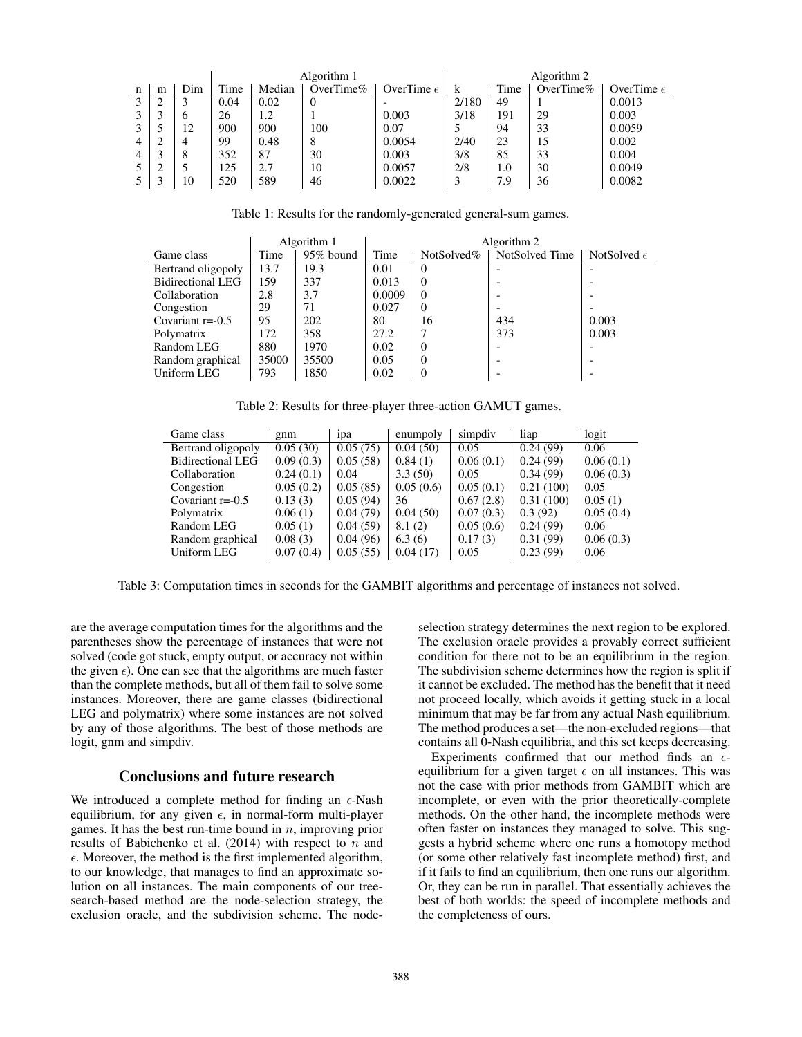|              |   |     | Algorithm 1 |        |              |                     | Algorithm 2 |      |              |                     |
|--------------|---|-----|-------------|--------|--------------|---------------------|-------------|------|--------------|---------------------|
| n            | m | Dim | Time        | Median | OverTime $%$ | OverTime $\epsilon$ | k           | Time | OverTime $%$ | OverTime $\epsilon$ |
| $\mathbf{a}$ |   |     | 0.04        | 0.02   | $\theta$     |                     | 2/180       | 49   |              | 0.0013              |
| $\mathbf{a}$ |   | 6   | 26          | 1.2    |              | 0.003               | 3/18        | 191  | 29           | 0.003               |
| 3            |   | 12  | 900         | 900    | 100          | 0.07                |             | 94   | 33           | 0.0059              |
| 4            |   |     | 99          | 0.48   | 8            | 0.0054              | 2/40        | 23   | 15           | 0.002               |
| 4            |   | 8   | 352         | 87     | 30           | 0.003               | 3/8         | 85   | 33           | 0.004               |
|              | ◠ |     | 125         | 2.7    | 10           | 0.0057              | 2/8         | 1.0  | 30           | 0.0049              |
|              |   | 10  | 520         | 589    | 46           | 0.0022              |             | 7.9  | 36           | 0.0082              |

Table 1: Results for the randomly-generated general-sum games.

|                          |       | Algorithm 1  |        | Algorithm 2   |                |                      |  |  |  |
|--------------------------|-------|--------------|--------|---------------|----------------|----------------------|--|--|--|
| Game class               | Time  | $95\%$ bound | Time   | NotSolved $%$ | NotSolved Time | NotSolved $\epsilon$ |  |  |  |
| Bertrand oligopoly       | 13.7  | 19.3         | 0.01   | $\theta$      |                |                      |  |  |  |
| <b>Bidirectional LEG</b> | 159   | 337          | 0.013  | $\Omega$      |                |                      |  |  |  |
| Collaboration            | 2.8   | 3.7          | 0.0009 | $\Omega$      |                |                      |  |  |  |
| Congestion               | 29    | 71           | 0.027  | $\Omega$      |                |                      |  |  |  |
| Covariant $r = -0.5$     | 95    | 202          | 80     | 16            | 434            | 0.003                |  |  |  |
| Polymatrix               | 172   | 358          | 27.2   |               | 373            | 0.003                |  |  |  |
| Random LEG               | 880   | 1970         | 0.02   | $\Omega$      |                |                      |  |  |  |
| Random graphical         | 35000 | 35500        | 0.05   | $\Omega$      |                |                      |  |  |  |
| Uniform LEG              | 793   | 1850         | 0.02   | 0             |                |                      |  |  |  |
|                          |       |              |        |               |                |                      |  |  |  |

Table 2: Results for three-player three-action GAMUT games.

| Game class               | gnm       | 1 <sub>D</sub> a | enumpoly  | simpdiv   | liap      | logit     |
|--------------------------|-----------|------------------|-----------|-----------|-----------|-----------|
| Bertrand oligopoly       | 0.05(30)  | 0.05(75)         | 0.04(50)  | 0.05      | 0.24(99)  | 0.06      |
| <b>Bidirectional LEG</b> | 0.09(0.3) | 0.05(58)         | 0.84(1)   | 0.06(0.1) | 0.24(99)  | 0.06(0.1) |
| Collaboration            | 0.24(0.1) | 0.04             | 3.3(50)   | 0.05      | 0.34(99)  | 0.06(0.3) |
| Congestion               | 0.05(0.2) | 0.05(85)         | 0.05(0.6) | 0.05(0.1) | 0.21(100) | 0.05      |
| Covariant $r = -0.5$     | 0.13(3)   | 0.05(94)         | 36        | 0.67(2.8) | 0.31(100) | 0.05(1)   |
| Polymatrix               | 0.06(1)   | 0.04(79)         | 0.04(50)  | 0.07(0.3) | 0.3(92)   | 0.05(0.4) |
| Random LEG               | 0.05(1)   | 0.04(59)         | 8.1(2)    | 0.05(0.6) | 0.24(99)  | 0.06      |
| Random graphical         | 0.08(3)   | 0.04(96)         | 6.3(6)    | 0.17(3)   | 0.31(99)  | 0.06(0.3) |
| Uniform LEG              | 0.07(0.4) | 0.05(55)         | 0.04(17)  | 0.05      | 0.23(99)  | 0.06      |

Table 3: Computation times in seconds for the GAMBIT algorithms and percentage of instances not solved.

are the average computation times for the algorithms and the parentheses show the percentage of instances that were not solved (code got stuck, empty output, or accuracy not within the given  $\epsilon$ ). One can see that the algorithms are much faster than the complete methods, but all of them fail to solve some instances. Moreover, there are game classes (bidirectional LEG and polymatrix) where some instances are not solved by any of those algorithms. The best of those methods are logit, gnm and simpdiv.

# Conclusions and future research

We introduced a complete method for finding an  $\epsilon$ -Nash equilibrium, for any given  $\epsilon$ , in normal-form multi-player games. It has the best run-time bound in  $n$ , improving prior results of Babichenko et al.  $(2014)$  with respect to n and  $\epsilon$ . Moreover, the method is the first implemented algorithm, to our knowledge, that manages to find an approximate solution on all instances. The main components of our treesearch-based method are the node-selection strategy, the exclusion oracle, and the subdivision scheme. The node-

selection strategy determines the next region to be explored. The exclusion oracle provides a provably correct sufficient condition for there not to be an equilibrium in the region. The subdivision scheme determines how the region is split if it cannot be excluded. The method has the benefit that it need not proceed locally, which avoids it getting stuck in a local minimum that may be far from any actual Nash equilibrium. The method produces a set—the non-excluded regions—that contains all 0-Nash equilibria, and this set keeps decreasing.

Experiments confirmed that our method finds an  $\epsilon$ equilibrium for a given target  $\epsilon$  on all instances. This was not the case with prior methods from GAMBIT which are incomplete, or even with the prior theoretically-complete methods. On the other hand, the incomplete methods were often faster on instances they managed to solve. This suggests a hybrid scheme where one runs a homotopy method (or some other relatively fast incomplete method) first, and if it fails to find an equilibrium, then one runs our algorithm. Or, they can be run in parallel. That essentially achieves the best of both worlds: the speed of incomplete methods and the completeness of ours.